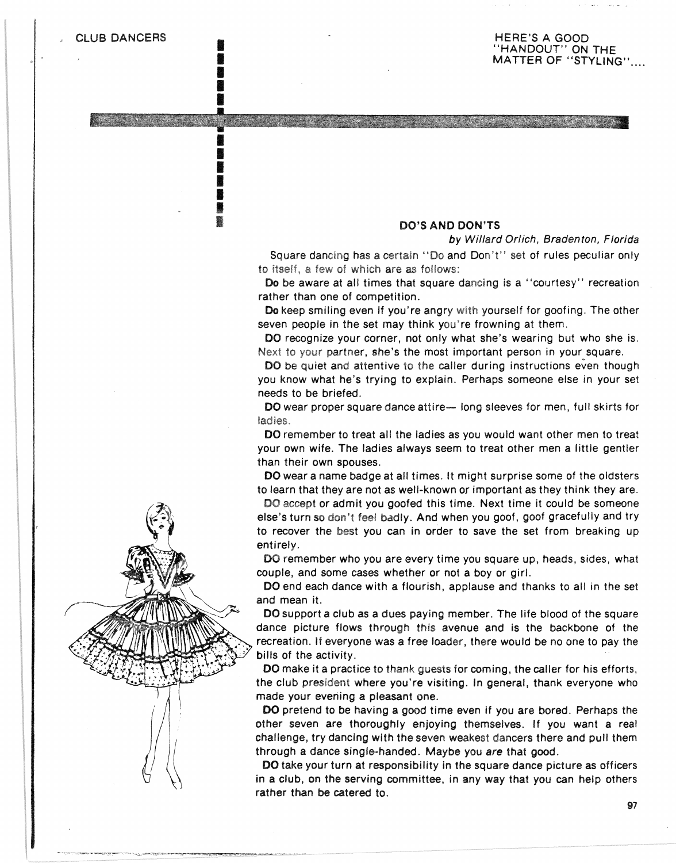**ISBN 978** I light in the second state of the second state  $\mathbf{r}$ **EXECUTE** 

E I **INSURANCE ISSUED ISLE** I I

#### HERE'S A GOOD "HANDOUT" ON THE MATTER OF "STYLING".

#### DO'S AND DON'TS

by Willard Orlich, Bradenton, Florida

ومحاولاته والمستقر والمستعمل والمستوفي والمستعمرة والمتعارض

Square dancing has a certain "Do and Don't" set of rules peculiar only to itself, a few of which are as follows:

Do be aware at all times that square dancing is a "courtesy" recreation rather than one of competition.

Do keep smiling even if you're angry with yourself for goofing. The other seven people in the set may think you're frowning at them.

DO recognize your corner, not only what she's wearing but who she is. Next to your partner, she's the most important person in your square.

DO be quiet and attentive to the caller during instructions even though you know what he's trying to explain. Perhaps someone else in your set needs to be briefed.

DO wear proper square dance attire- long sleeves for men, full skirts for ladies.

DO remember to treat all the ladies as you would want other men to treat your own wife. The ladies always seem to treat other men a little gentler than their own spouses.

DO wear a name badge at all times. It might surprise some of the oldsters to learn that they are not as well-known or important as they think they are.

DO accept or admit you goofed this time. Next time it could be someone else's turn so don't feel badly. And when you goof, goof gracefully and try to recover the best you can in order to save the set from breaking up entirely.

DO remember who you are every time you square up, heads, sides, what couple, and some cases whether or not a boy or girl.

DO end each dance with a flourish, applause and thanks to all in the set and mean it.

DO support a club as a dues paying member. The life blood of the square dance picture flows through this avenue and is the backbone of the recreation. if everyone was a free loader, there would be no one to pay the bills of the activity.

DO make it a practice to thank guests for coming, the caller for his efforts, the club president where you're visiting. In general, thank everyone who made your evening a pleasant one.

DO pretend to be having a good time even if you are bored. Perhaps the other seven are thoroughly enjoying themselves. If you want a real challenge, try dancing with the seven weakest dancers there and pull them through a dance Single-handed. Maybe you are that good.

DO take your turn at responsibility in the square dance picture as officers in a club, on the serving committee. in any way that you can help others rather than be catered to.

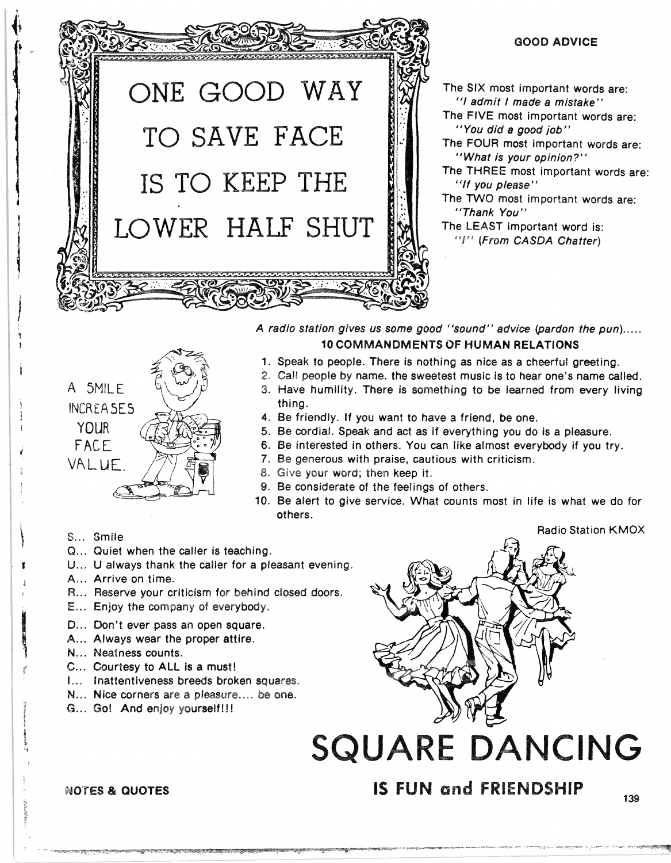

#### GOOD ADVICE

"I admit I made a mistake" The FIVE most important words are: "You did a good job" The FOUR most important words are: "What is your opinion?"<br>The THREE most important words are: "If you please" The TWO most important words are: "Thank You" The LEAST important word is: "!" (From CASDA Chatter)



A radio station gives us some good "sound" advice (pardon the pun)..... 10 COMMANDMENTS OF HUMAN RELATIONS

- 1. Speak to people. There is nothing as nice as a cheerful greeting.
- 2. Call people by name. the sweetest music is to hear one's name called.
- 3. Have humility. There is something to be learned from every living thing.
- 4. Be friendly. If you want to have a friend, be one.
- Be cordial. Speak and act as if everything you do is a pleasure.
- Be interested in others. You can like almost everybody if you try.
- 7. Be generous with praise, cautious with criticism.
- 8. Give your word; then keep it.
- 9. Be considerate of the feelings of others.
- 10. Be alert to give service. What counts most in life is what we do for others.

#### Radio Station KMOX

#### S... Smile

- Q... Quiet when the caller is teaching.
- U... U always thank the caller for a pleasant evening.
- A... Arrive on time.
- R... Reserve your criticism for behind closed doors.
- E... Enjoy the company of everybody.
- D... Don't ever pass an open square.
- A... Always wear the proper attire.
- N... Neatness counts.
- C... Courtesy to ALL is a must!
- I... Inattentiveness breeds broken squares.
- N... Nice corners are a pleasure.... be one.
- G... Go! And enjoy yourself!!!



# **SQUARE DANCING**

# NOTES & QUOTES **IS FUN and FRIENDSHIP**